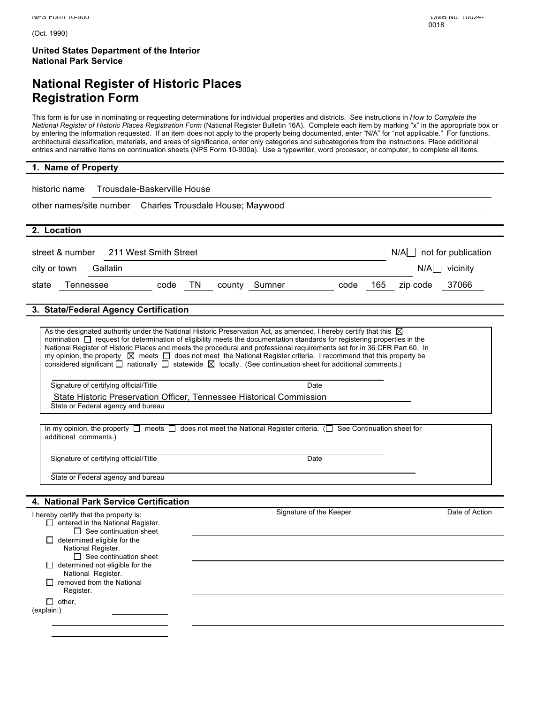(Oct. 1990)

#### **United States Department of the Interior National Park Service**

### **National Register of Historic Places Registration Form**

This form is for use in nominating or requesting determinations for individual properties and districts. See instructions in *How to Complete the National Register of Historic Places Registration Form* (National Register Bulletin 16A). Complete each item by marking "x" in the appropriate box or by entering the information requested. If an item does not apply to the property being documented, enter "N/A" for "not applicable." For functions, architectural classification, materials, and areas of significance, enter only categories and subcategories from the instructions. Place additional entries and narrative items on continuation sheets (NPS Form 10-900a). Use a typewriter, word processor, or computer, to complete all items.

#### **1. Name of Property**

| Trousdale-Baskerville House<br>historic name                                                                                                                                                                                                                                                                                                                                                                                                                                                                                                                                                                                                                                                                                                                                                                                                                                                                                                                                                       |                           |  |  |  |
|----------------------------------------------------------------------------------------------------------------------------------------------------------------------------------------------------------------------------------------------------------------------------------------------------------------------------------------------------------------------------------------------------------------------------------------------------------------------------------------------------------------------------------------------------------------------------------------------------------------------------------------------------------------------------------------------------------------------------------------------------------------------------------------------------------------------------------------------------------------------------------------------------------------------------------------------------------------------------------------------------|---------------------------|--|--|--|
| other names/site number Charles Trousdale House; Maywood                                                                                                                                                                                                                                                                                                                                                                                                                                                                                                                                                                                                                                                                                                                                                                                                                                                                                                                                           |                           |  |  |  |
| 2. Location                                                                                                                                                                                                                                                                                                                                                                                                                                                                                                                                                                                                                                                                                                                                                                                                                                                                                                                                                                                        |                           |  |  |  |
|                                                                                                                                                                                                                                                                                                                                                                                                                                                                                                                                                                                                                                                                                                                                                                                                                                                                                                                                                                                                    |                           |  |  |  |
| street & number<br>211 West Smith Street                                                                                                                                                                                                                                                                                                                                                                                                                                                                                                                                                                                                                                                                                                                                                                                                                                                                                                                                                           | $N/A$ not for publication |  |  |  |
| Gallatin<br>city or town                                                                                                                                                                                                                                                                                                                                                                                                                                                                                                                                                                                                                                                                                                                                                                                                                                                                                                                                                                           | vicinity<br>N/Al          |  |  |  |
| TN<br>state<br>Tennessee<br>code<br>county Sumner<br>code<br>165                                                                                                                                                                                                                                                                                                                                                                                                                                                                                                                                                                                                                                                                                                                                                                                                                                                                                                                                   | 37066<br>zip code         |  |  |  |
| 3. State/Federal Agency Certification                                                                                                                                                                                                                                                                                                                                                                                                                                                                                                                                                                                                                                                                                                                                                                                                                                                                                                                                                              |                           |  |  |  |
| As the designated authority under the National Historic Preservation Act, as amended, I hereby certify that this $\boxtimes$<br>nomination $\Box$ request for determination of eligibility meets the documentation standards for registering properties in the<br>National Register of Historic Places and meets the procedural and professional requirements set for in 36 CFR Part 60. In<br>my opinion, the property $\boxtimes$ meets $\Box$ does not meet the National Register criteria. I recommend that this property be<br>considered significant $\Box$ nationally $\Box$ statewide $\boxtimes$ locally. (See continuation sheet for additional comments.)<br>Signature of certifying official/Title<br>Date<br>State Historic Preservation Officer, Tennessee Historical Commission<br>State or Federal agency and bureau<br>In my opinion, the property $\Box$ meets $\Box$ does not meet the National Register criteria. ( $\Box$ See Continuation sheet for<br>additional comments.) |                           |  |  |  |
| Signature of certifying official/Title<br>Date                                                                                                                                                                                                                                                                                                                                                                                                                                                                                                                                                                                                                                                                                                                                                                                                                                                                                                                                                     |                           |  |  |  |
| State or Federal agency and bureau                                                                                                                                                                                                                                                                                                                                                                                                                                                                                                                                                                                                                                                                                                                                                                                                                                                                                                                                                                 |                           |  |  |  |
| 4. National Park Service Certification                                                                                                                                                                                                                                                                                                                                                                                                                                                                                                                                                                                                                                                                                                                                                                                                                                                                                                                                                             |                           |  |  |  |
| Signature of the Keeper<br>I hereby certify that the property is:<br>$\Box$ entered in the National Register.<br>$\Box$ See continuation sheet                                                                                                                                                                                                                                                                                                                                                                                                                                                                                                                                                                                                                                                                                                                                                                                                                                                     | Date of Action            |  |  |  |
| $\Box$ determined eligible for the<br>National Register.<br>$\Box$ See continuation sheet                                                                                                                                                                                                                                                                                                                                                                                                                                                                                                                                                                                                                                                                                                                                                                                                                                                                                                          |                           |  |  |  |
| $\Box$ determined not eligible for the<br>National Register.                                                                                                                                                                                                                                                                                                                                                                                                                                                                                                                                                                                                                                                                                                                                                                                                                                                                                                                                       |                           |  |  |  |
| $\Box$ removed from the National<br>Register.                                                                                                                                                                                                                                                                                                                                                                                                                                                                                                                                                                                                                                                                                                                                                                                                                                                                                                                                                      |                           |  |  |  |
| $\Box$ other,<br>(explain:)                                                                                                                                                                                                                                                                                                                                                                                                                                                                                                                                                                                                                                                                                                                                                                                                                                                                                                                                                                        |                           |  |  |  |
|                                                                                                                                                                                                                                                                                                                                                                                                                                                                                                                                                                                                                                                                                                                                                                                                                                                                                                                                                                                                    |                           |  |  |  |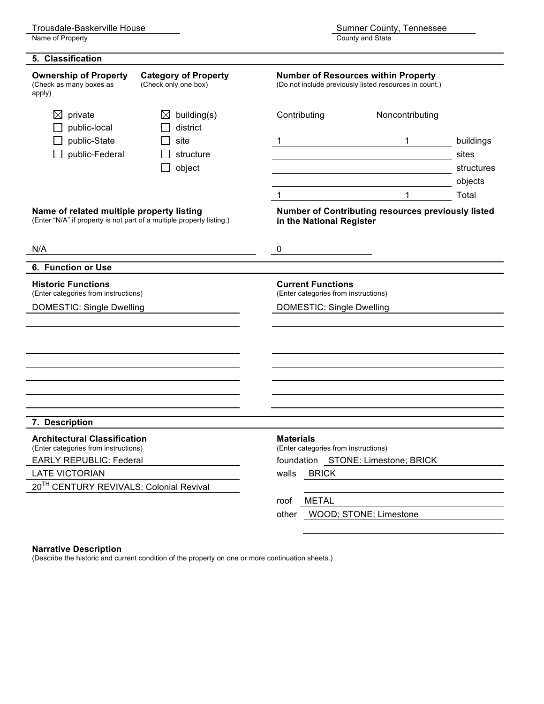| 5. Classification                                                                                                  |                                                     |                                                                                |                                                                                                      |            |  |
|--------------------------------------------------------------------------------------------------------------------|-----------------------------------------------------|--------------------------------------------------------------------------------|------------------------------------------------------------------------------------------------------|------------|--|
| <b>Ownership of Property</b><br>(Check as many boxes as<br>apply)                                                  | <b>Category of Property</b><br>(Check only one box) |                                                                                | <b>Number of Resources within Property</b><br>(Do not include previously listed resources in count.) |            |  |
| private<br>⋈<br>public-local                                                                                       | building(s)<br>ᢂ<br>district                        | Contributing                                                                   | Noncontributing                                                                                      |            |  |
| public-State                                                                                                       | site                                                | 1                                                                              | 1                                                                                                    | buildings  |  |
| public-Federal                                                                                                     | structure                                           |                                                                                |                                                                                                      | sites      |  |
|                                                                                                                    | object                                              |                                                                                |                                                                                                      | structures |  |
|                                                                                                                    |                                                     |                                                                                |                                                                                                      | objects    |  |
|                                                                                                                    |                                                     | 1                                                                              | $\mathbf{1}$                                                                                         | Total      |  |
| Name of related multiple property listing<br>(Enter "N/A" if property is not part of a multiple property listing.) |                                                     | Number of Contributing resources previously listed<br>in the National Register |                                                                                                      |            |  |
| N/A                                                                                                                |                                                     | 0                                                                              |                                                                                                      |            |  |
| 6. Function or Use                                                                                                 |                                                     |                                                                                |                                                                                                      |            |  |
| <b>Historic Functions</b><br>(Enter categories from instructions)                                                  |                                                     | <b>Current Functions</b><br>(Enter categories from instructions)               |                                                                                                      |            |  |
| <b>DOMESTIC: Single Dwelling</b>                                                                                   |                                                     | <b>DOMESTIC: Single Dwelling</b>                                               |                                                                                                      |            |  |
|                                                                                                                    |                                                     |                                                                                |                                                                                                      |            |  |
|                                                                                                                    |                                                     |                                                                                |                                                                                                      |            |  |
|                                                                                                                    |                                                     |                                                                                |                                                                                                      |            |  |
|                                                                                                                    |                                                     |                                                                                |                                                                                                      |            |  |
|                                                                                                                    |                                                     |                                                                                |                                                                                                      |            |  |
|                                                                                                                    |                                                     |                                                                                |                                                                                                      |            |  |
| 7. Description                                                                                                     |                                                     |                                                                                |                                                                                                      |            |  |
| <b>Architectural Classification</b>                                                                                |                                                     | <b>Materials</b>                                                               |                                                                                                      |            |  |
| (Enter categories from instructions)<br><b>EARLY REPUBLIC: Federal</b>                                             |                                                     | (Enter categories from instructions)                                           | foundation STONE: Limestone; BRICK                                                                   |            |  |
| <b>LATE VICTORIAN</b>                                                                                              |                                                     | walls<br><b>BRICK</b>                                                          |                                                                                                      |            |  |
| 20 <sup>TH</sup> CENTURY REVIVALS: Colonial Revival                                                                |                                                     |                                                                                |                                                                                                      |            |  |
|                                                                                                                    |                                                     | <b>METAL</b><br>roof                                                           |                                                                                                      |            |  |
|                                                                                                                    |                                                     | other                                                                          | WOOD; STONE: Limestone                                                                               |            |  |
|                                                                                                                    |                                                     |                                                                                |                                                                                                      |            |  |

#### **Narrative Description**

(Describe the historic and current condition of the property on one or more continuation sheets.)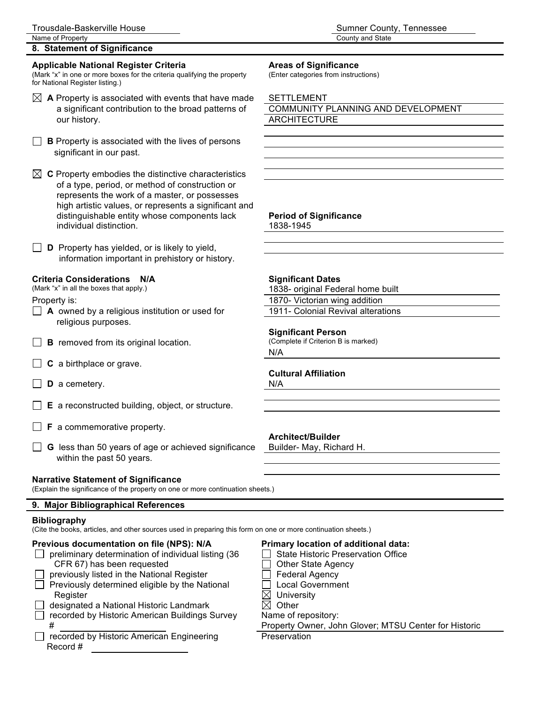#### **8. Statement of Significance**

#### **Applicable National Register Criteria Areas of Significance**

(Mark "x" in one or more boxes for the criteria qualifying the property (Enter categories from instructions) for National Register listing.)

- $\boxtimes$  A Property is associated with events that have made SETTLEMENT a significant contribution to the broad patterns of COMMUNITY PLANNING AND DEVELOPMENT our history. ARCHITECTURE
- $\Box$  **B** Property is associated with the lives of persons significant in our past.
- $\boxtimes$  **C** Property embodies the distinctive characteristics of a type, period, or method of construction or represents the work of a master, or possesses high artistic values, or represents a significant and distinguishable entity whose components lack **Period of Significance** individual distinction. 1838-1945

 $\Box$  **D** Property has yielded, or is likely to yield, information important in prehistory or history.

#### **Criteria Considerations N/A Significant Dates**

- □ **A** owned by a religious institution or used for 1911- Colonial Revival alterations religious purposes.
- $\Box$  **B** removed from its original location.
- **C** a birthplace or grave.
- **D** a cemetery. N/A
- **E** a reconstructed building, object, or structure.
- **F** a commemorative property.
- **G** less than 50 years of age or achieved significance Builder-May, Richard H. within the past 50 years.

#### **Narrative Statement of Significance**

(Explain the significance of the property on one or more continuation sheets.)

#### **9. Major Bibliographical References**

#### **Bibliography**

(Cite the books, articles, and other sources used in preparing this form on one or more continuation sheets.)

#### **Previous documentation on file (NPS): N/A Primary location of additional data:**

- preliminary determination of individual listing  $(36 \Box)$  State Historic Preservation Office  $CFR 67$ ) has been requested  $\Box$  Other State Agency
- $\Box$  previously listed in the National Register  $\Box$  Federal Agency
- $\Box$  Previously determined eligible by the National  $\Box$  Local Government
- Register  $\boxtimes$  University<br>
lesignated a National Historic Landmark  $\boxtimes$  Other  $\overline{a}$  designated a National Historic Landmark  $\Box$  recorded by Historic American Buildings Survey Name of repository:
	-

|          |  | $\Box$ recorded by Historic American Engineering |
|----------|--|--------------------------------------------------|
| Record # |  |                                                  |

(Mark "x" in all the boxes that apply.) 1838- original Federal home built

Property is: 1870- Victorian wing addition

### **Significant Person**<br>(Complete if Criterion B is marked)

N/A

#### **Cultural Affiliation**

#### **Architect/Builder**

- 
- 
- 
- 
- 
- 

# Property Owner, John Glover; MTSU Center for Historic

**Preservation**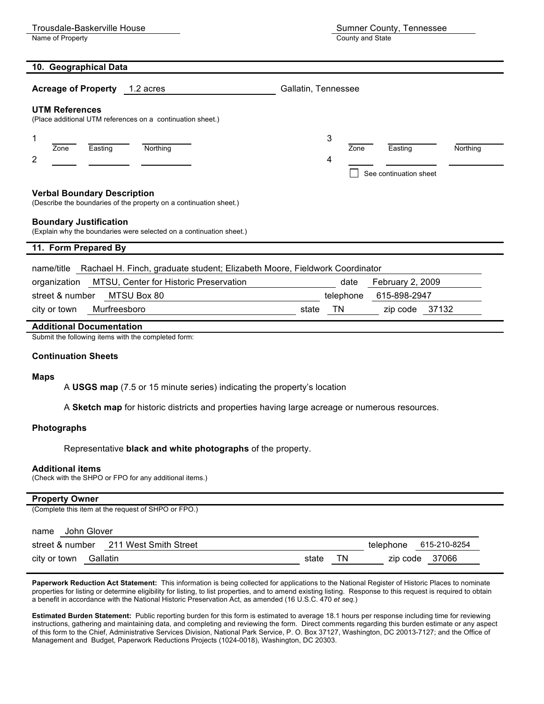| Trousdale-Baskerville House |  |
|-----------------------------|--|
|-----------------------------|--|

Name of Property **County and State** 

#### **10. Geographical Data**

| ιν. Οσυγιαριπναι Data                                                                                    |                     |                                               |  |  |  |  |
|----------------------------------------------------------------------------------------------------------|---------------------|-----------------------------------------------|--|--|--|--|
| <b>Acreage of Property</b><br>1.2 acres                                                                  | Gallatin, Tennessee |                                               |  |  |  |  |
| <b>UTM References</b><br>(Place additional UTM references on a continuation sheet.)                      |                     |                                               |  |  |  |  |
| 1<br>Northing<br>Easting<br>Zone<br>2                                                                    | 3<br>Zone<br>4      | Easting<br>Northing<br>See continuation sheet |  |  |  |  |
| <b>Verbal Boundary Description</b><br>(Describe the boundaries of the property on a continuation sheet.) |                     |                                               |  |  |  |  |
| <b>Boundary Justification</b><br>(Explain why the boundaries were selected on a continuation sheet.)     |                     |                                               |  |  |  |  |
| 11. Form Prepared By                                                                                     |                     |                                               |  |  |  |  |
| Rachael H. Finch, graduate student; Elizabeth Moore, Fieldwork Coordinator<br>name/title                 |                     |                                               |  |  |  |  |
| MTSU, Center for Historic Preservation<br>organization                                                   | date                | February 2, 2009                              |  |  |  |  |
| MTSU Box 80<br>street & number                                                                           | telephone           | 615-898-2947                                  |  |  |  |  |
| Murfreesboro<br>city or town                                                                             | <b>TN</b><br>state  | 37132<br>zip code                             |  |  |  |  |
| <b>Additional Documentation</b>                                                                          |                     |                                               |  |  |  |  |
| Submit the following items with the completed form:                                                      |                     |                                               |  |  |  |  |

#### **Continuation Sheets**

#### **Maps**

A **USGS map** (7.5 or 15 minute series) indicating the property's location

A **Sketch map** for historic districts and properties having large acreage or numerous resources.

#### **Photographs**

Representative **black and white photographs** of the property.

#### **Additional items**

(Check with the SHPO or FPO for any additional items.)

#### **Property Owner**

(Complete this item at the request of SHPO or FPO.)

| John Glover<br>name |          |                                       |       |    |          |                        |
|---------------------|----------|---------------------------------------|-------|----|----------|------------------------|
|                     |          | street & number 211 West Smith Street |       |    |          | telephone 615-210-8254 |
| city or town        | Gallatin |                                       | state | TN | zip code | 37066                  |

**Paperwork Reduction Act Statement:** This information is being collected for applications to the National Register of Historic Places to nominate properties for listing or determine eligibility for listing, to list properties, and to amend existing listing. Response to this request is required to obtain a benefit in accordance with the National Historic Preservation Act, as amended (16 U.S.C. 470 *et seq.*)

**Estimated Burden Statement:** Public reporting burden for this form is estimated to average 18.1 hours per response including time for reviewing instructions, gathering and maintaining data, and completing and reviewing the form. Direct comments regarding this burden estimate or any aspect of this form to the Chief, Administrative Services Division, National Park Service, P. O. Box 37127, Washington, DC 20013-7127; and the Office of Management and Budget, Paperwork Reductions Projects (1024-0018), Washington, DC 20303.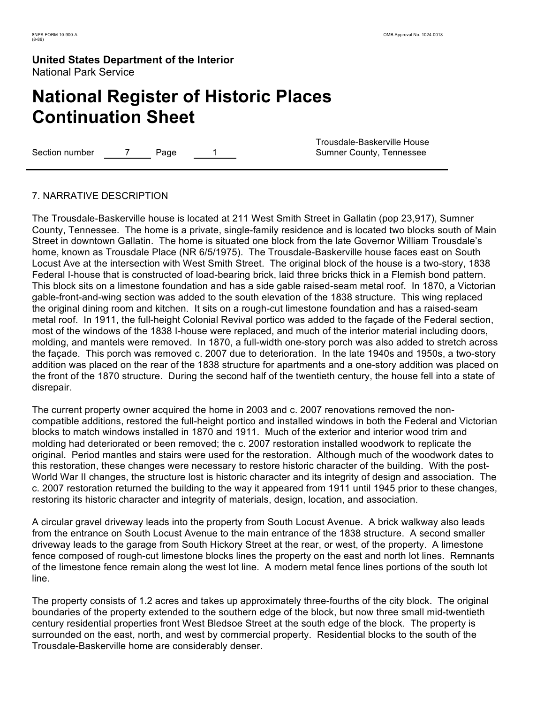# **National Register of Historic Places Continuation Sheet**

Section number 7 Page 1

Trousdale-Baskerville House Sumner County, Tennessee

### 7. NARRATIVE DESCRIPTION

The Trousdale-Baskerville house is located at 211 West Smith Street in Gallatin (pop 23,917), Sumner County, Tennessee. The home is a private, single-family residence and is located two blocks south of Main Street in downtown Gallatin. The home is situated one block from the late Governor William Trousdale's home, known as Trousdale Place (NR 6/5/1975). The Trousdale-Baskerville house faces east on South Locust Ave at the intersection with West Smith Street. The original block of the house is a two-story, 1838 Federal I-house that is constructed of load-bearing brick, laid three bricks thick in a Flemish bond pattern. This block sits on a limestone foundation and has a side gable raised-seam metal roof. In 1870, a Victorian gable-front-and-wing section was added to the south elevation of the 1838 structure. This wing replaced the original dining room and kitchen. It sits on a rough-cut limestone foundation and has a raised-seam metal roof. In 1911, the full-height Colonial Revival portico was added to the façade of the Federal section, most of the windows of the 1838 I-house were replaced, and much of the interior material including doors, molding, and mantels were removed. In 1870, a full-width one-story porch was also added to stretch across the façade. This porch was removed c. 2007 due to deterioration. In the late 1940s and 1950s, a two-story addition was placed on the rear of the 1838 structure for apartments and a one-story addition was placed on the front of the 1870 structure. During the second half of the twentieth century, the house fell into a state of disrepair.

The current property owner acquired the home in 2003 and c. 2007 renovations removed the noncompatible additions, restored the full-height portico and installed windows in both the Federal and Victorian blocks to match windows installed in 1870 and 1911. Much of the exterior and interior wood trim and molding had deteriorated or been removed; the c. 2007 restoration installed woodwork to replicate the original. Period mantles and stairs were used for the restoration. Although much of the woodwork dates to this restoration, these changes were necessary to restore historic character of the building. With the post-World War II changes, the structure lost is historic character and its integrity of design and association. The c. 2007 restoration returned the building to the way it appeared from 1911 until 1945 prior to these changes, restoring its historic character and integrity of materials, design, location, and association.

A circular gravel driveway leads into the property from South Locust Avenue. A brick walkway also leads from the entrance on South Locust Avenue to the main entrance of the 1838 structure. A second smaller driveway leads to the garage from South Hickory Street at the rear, or west, of the property. A limestone fence composed of rough-cut limestone blocks lines the property on the east and north lot lines. Remnants of the limestone fence remain along the west lot line. A modern metal fence lines portions of the south lot line.

The property consists of 1.2 acres and takes up approximately three-fourths of the city block. The original boundaries of the property extended to the southern edge of the block, but now three small mid-twentieth century residential properties front West Bledsoe Street at the south edge of the block. The property is surrounded on the east, north, and west by commercial property. Residential blocks to the south of the Trousdale-Baskerville home are considerably denser.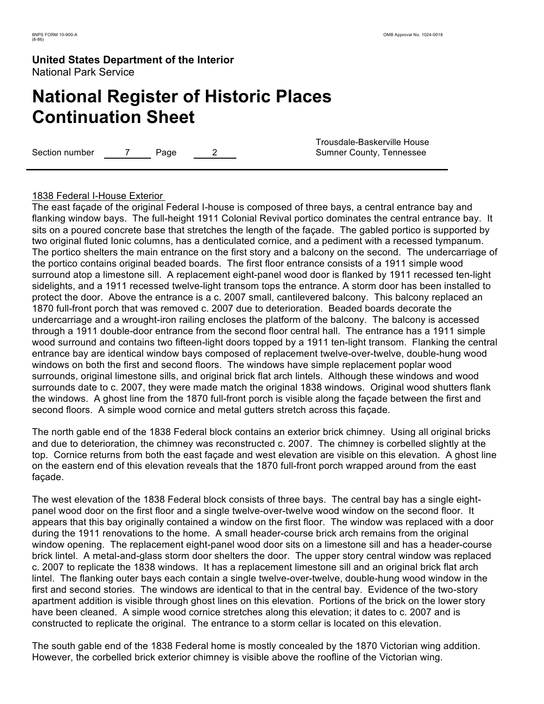# **National Register of Historic Places Continuation Sheet**

Section number 7 Page 2

Trousdale-Baskerville House Sumner County, Tennessee

#### 1838 Federal I-House Exterior

The east façade of the original Federal I-house is composed of three bays, a central entrance bay and flanking window bays. The full-height 1911 Colonial Revival portico dominates the central entrance bay. It sits on a poured concrete base that stretches the length of the façade. The gabled portico is supported by two original fluted Ionic columns, has a denticulated cornice, and a pediment with a recessed tympanum. The portico shelters the main entrance on the first story and a balcony on the second. The undercarriage of the portico contains original beaded boards. The first floor entrance consists of a 1911 simple wood surround atop a limestone sill. A replacement eight-panel wood door is flanked by 1911 recessed ten-light sidelights, and a 1911 recessed twelve-light transom tops the entrance. A storm door has been installed to protect the door. Above the entrance is a c. 2007 small, cantilevered balcony. This balcony replaced an 1870 full-front porch that was removed c. 2007 due to deterioration. Beaded boards decorate the undercarriage and a wrought-iron railing encloses the platform of the balcony. The balcony is accessed through a 1911 double-door entrance from the second floor central hall. The entrance has a 1911 simple wood surround and contains two fifteen-light doors topped by a 1911 ten-light transom. Flanking the central entrance bay are identical window bays composed of replacement twelve-over-twelve, double-hung wood windows on both the first and second floors. The windows have simple replacement poplar wood surrounds, original limestone sills, and original brick flat arch lintels. Although these windows and wood surrounds date to c. 2007, they were made match the original 1838 windows. Original wood shutters flank the windows. A ghost line from the 1870 full-front porch is visible along the façade between the first and second floors. A simple wood cornice and metal gutters stretch across this façade.

The north gable end of the 1838 Federal block contains an exterior brick chimney. Using all original bricks and due to deterioration, the chimney was reconstructed c. 2007. The chimney is corbelled slightly at the top. Cornice returns from both the east façade and west elevation are visible on this elevation. A ghost line on the eastern end of this elevation reveals that the 1870 full-front porch wrapped around from the east façade.

The west elevation of the 1838 Federal block consists of three bays. The central bay has a single eightpanel wood door on the first floor and a single twelve-over-twelve wood window on the second floor. It appears that this bay originally contained a window on the first floor. The window was replaced with a door during the 1911 renovations to the home. A small header-course brick arch remains from the original window opening. The replacement eight-panel wood door sits on a limestone sill and has a header-course brick lintel. A metal-and-glass storm door shelters the door. The upper story central window was replaced c. 2007 to replicate the 1838 windows. It has a replacement limestone sill and an original brick flat arch lintel. The flanking outer bays each contain a single twelve-over-twelve, double-hung wood window in the first and second stories. The windows are identical to that in the central bay. Evidence of the two-story apartment addition is visible through ghost lines on this elevation. Portions of the brick on the lower story have been cleaned. A simple wood cornice stretches along this elevation; it dates to c. 2007 and is constructed to replicate the original. The entrance to a storm cellar is located on this elevation.

The south gable end of the 1838 Federal home is mostly concealed by the 1870 Victorian wing addition. However, the corbelled brick exterior chimney is visible above the roofline of the Victorian wing.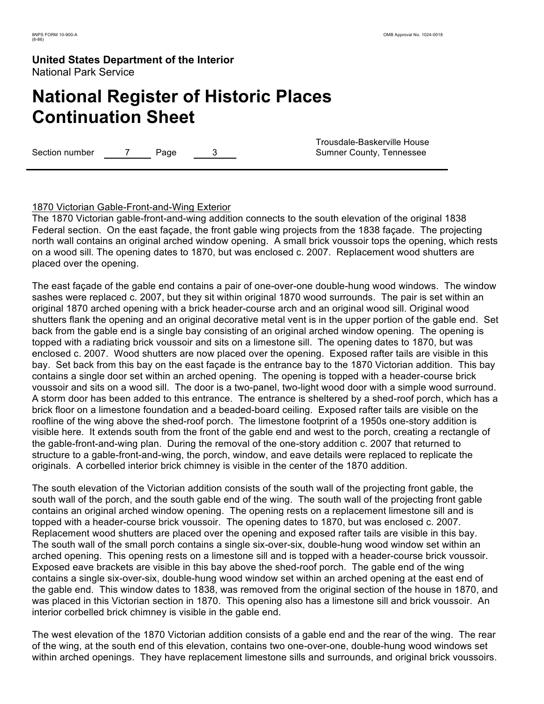# **National Register of Historic Places Continuation Sheet**

Section number  $\overline{7}$  Page 3

Trousdale-Baskerville House Sumner County, Tennessee

### 1870 Victorian Gable-Front-and-Wing Exterior

The 1870 Victorian gable-front-and-wing addition connects to the south elevation of the original 1838 Federal section. On the east façade, the front gable wing projects from the 1838 façade. The projecting north wall contains an original arched window opening. A small brick voussoir tops the opening, which rests on a wood sill. The opening dates to 1870, but was enclosed c. 2007. Replacement wood shutters are placed over the opening.

The east façade of the gable end contains a pair of one-over-one double-hung wood windows. The window sashes were replaced c. 2007, but they sit within original 1870 wood surrounds. The pair is set within an original 1870 arched opening with a brick header-course arch and an original wood sill. Original wood shutters flank the opening and an original decorative metal vent is in the upper portion of the gable end. Set back from the gable end is a single bay consisting of an original arched window opening. The opening is topped with a radiating brick voussoir and sits on a limestone sill. The opening dates to 1870, but was enclosed c. 2007. Wood shutters are now placed over the opening. Exposed rafter tails are visible in this bay. Set back from this bay on the east façade is the entrance bay to the 1870 Victorian addition. This bay contains a single door set within an arched opening. The opening is topped with a header-course brick voussoir and sits on a wood sill. The door is a two-panel, two-light wood door with a simple wood surround. A storm door has been added to this entrance. The entrance is sheltered by a shed-roof porch, which has a brick floor on a limestone foundation and a beaded-board ceiling. Exposed rafter tails are visible on the roofline of the wing above the shed-roof porch. The limestone footprint of a 1950s one-story addition is visible here. It extends south from the front of the gable end and west to the porch, creating a rectangle of the gable-front-and-wing plan. During the removal of the one-story addition c. 2007 that returned to structure to a gable-front-and-wing, the porch, window, and eave details were replaced to replicate the originals. A corbelled interior brick chimney is visible in the center of the 1870 addition.

The south elevation of the Victorian addition consists of the south wall of the projecting front gable, the south wall of the porch, and the south gable end of the wing. The south wall of the projecting front gable contains an original arched window opening. The opening rests on a replacement limestone sill and is topped with a header-course brick voussoir. The opening dates to 1870, but was enclosed c. 2007. Replacement wood shutters are placed over the opening and exposed rafter tails are visible in this bay. The south wall of the small porch contains a single six-over-six, double-hung wood window set within an arched opening. This opening rests on a limestone sill and is topped with a header-course brick voussoir. Exposed eave brackets are visible in this bay above the shed-roof porch. The gable end of the wing contains a single six-over-six, double-hung wood window set within an arched opening at the east end of the gable end. This window dates to 1838, was removed from the original section of the house in 1870, and was placed in this Victorian section in 1870. This opening also has a limestone sill and brick voussoir. An interior corbelled brick chimney is visible in the gable end.

The west elevation of the 1870 Victorian addition consists of a gable end and the rear of the wing. The rear of the wing, at the south end of this elevation, contains two one-over-one, double-hung wood windows set within arched openings. They have replacement limestone sills and surrounds, and original brick voussoirs.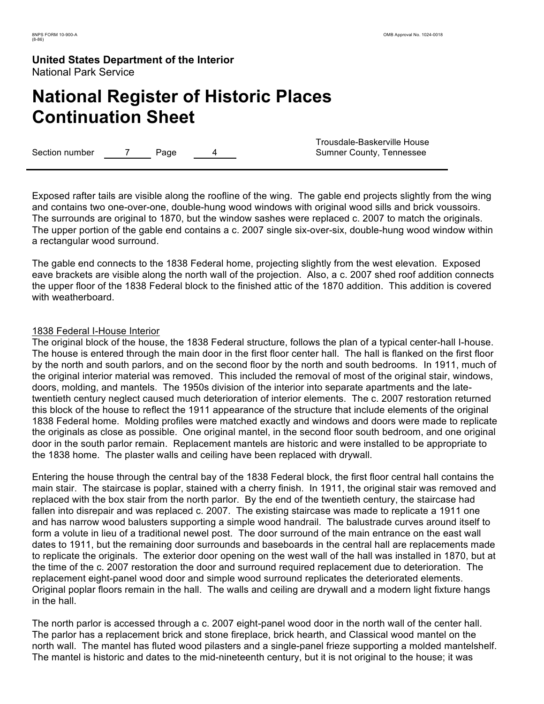# **National Register of Historic Places Continuation Sheet**

Section number  $\overline{7}$  Page 4

Trousdale-Baskerville House Sumner County, Tennessee

Exposed rafter tails are visible along the roofline of the wing. The gable end projects slightly from the wing and contains two one-over-one, double-hung wood windows with original wood sills and brick voussoirs. The surrounds are original to 1870, but the window sashes were replaced c. 2007 to match the originals. The upper portion of the gable end contains a c. 2007 single six-over-six, double-hung wood window within a rectangular wood surround.

The gable end connects to the 1838 Federal home, projecting slightly from the west elevation. Exposed eave brackets are visible along the north wall of the projection. Also, a c. 2007 shed roof addition connects the upper floor of the 1838 Federal block to the finished attic of the 1870 addition. This addition is covered with weatherboard.

#### 1838 Federal I-House Interior

The original block of the house, the 1838 Federal structure, follows the plan of a typical center-hall I-house. The house is entered through the main door in the first floor center hall. The hall is flanked on the first floor by the north and south parlors, and on the second floor by the north and south bedrooms. In 1911, much of the original interior material was removed. This included the removal of most of the original stair, windows, doors, molding, and mantels. The 1950s division of the interior into separate apartments and the latetwentieth century neglect caused much deterioration of interior elements. The c. 2007 restoration returned this block of the house to reflect the 1911 appearance of the structure that include elements of the original 1838 Federal home. Molding profiles were matched exactly and windows and doors were made to replicate the originals as close as possible. One original mantel, in the second floor south bedroom, and one original door in the south parlor remain. Replacement mantels are historic and were installed to be appropriate to the 1838 home. The plaster walls and ceiling have been replaced with drywall.

Entering the house through the central bay of the 1838 Federal block, the first floor central hall contains the main stair. The staircase is poplar, stained with a cherry finish. In 1911, the original stair was removed and replaced with the box stair from the north parlor. By the end of the twentieth century, the staircase had fallen into disrepair and was replaced c. 2007. The existing staircase was made to replicate a 1911 one and has narrow wood balusters supporting a simple wood handrail. The balustrade curves around itself to form a volute in lieu of a traditional newel post. The door surround of the main entrance on the east wall dates to 1911, but the remaining door surrounds and baseboards in the central hall are replacements made to replicate the originals. The exterior door opening on the west wall of the hall was installed in 1870, but at the time of the c. 2007 restoration the door and surround required replacement due to deterioration. The replacement eight-panel wood door and simple wood surround replicates the deteriorated elements. Original poplar floors remain in the hall. The walls and ceiling are drywall and a modern light fixture hangs in the hall.

The north parlor is accessed through a c. 2007 eight-panel wood door in the north wall of the center hall. The parlor has a replacement brick and stone fireplace, brick hearth, and Classical wood mantel on the north wall. The mantel has fluted wood pilasters and a single-panel frieze supporting a molded mantelshelf. The mantel is historic and dates to the mid-nineteenth century, but it is not original to the house; it was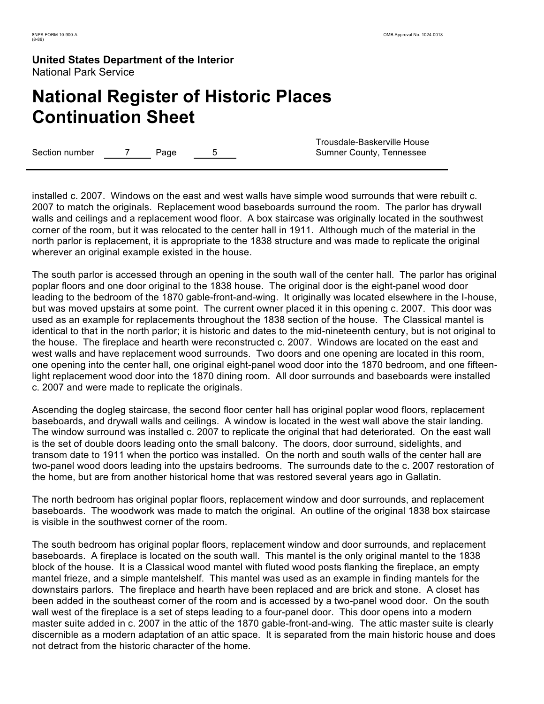# **National Register of Historic Places Continuation Sheet**

Section number  $\overline{7}$  Page 5

Trousdale-Baskerville House Sumner County, Tennessee

installed c. 2007. Windows on the east and west walls have simple wood surrounds that were rebuilt c. 2007 to match the originals. Replacement wood baseboards surround the room. The parlor has drywall walls and ceilings and a replacement wood floor. A box staircase was originally located in the southwest corner of the room, but it was relocated to the center hall in 1911. Although much of the material in the north parlor is replacement, it is appropriate to the 1838 structure and was made to replicate the original wherever an original example existed in the house.

The south parlor is accessed through an opening in the south wall of the center hall. The parlor has original poplar floors and one door original to the 1838 house. The original door is the eight-panel wood door leading to the bedroom of the 1870 gable-front-and-wing. It originally was located elsewhere in the I-house, but was moved upstairs at some point. The current owner placed it in this opening c. 2007. This door was used as an example for replacements throughout the 1838 section of the house. The Classical mantel is identical to that in the north parlor; it is historic and dates to the mid-nineteenth century, but is not original to the house. The fireplace and hearth were reconstructed c. 2007. Windows are located on the east and west walls and have replacement wood surrounds. Two doors and one opening are located in this room, one opening into the center hall, one original eight-panel wood door into the 1870 bedroom, and one fifteenlight replacement wood door into the 1870 dining room. All door surrounds and baseboards were installed c. 2007 and were made to replicate the originals.

Ascending the dogleg staircase, the second floor center hall has original poplar wood floors, replacement baseboards, and drywall walls and ceilings. A window is located in the west wall above the stair landing. The window surround was installed c. 2007 to replicate the original that had deteriorated. On the east wall is the set of double doors leading onto the small balcony. The doors, door surround, sidelights, and transom date to 1911 when the portico was installed. On the north and south walls of the center hall are two-panel wood doors leading into the upstairs bedrooms. The surrounds date to the c. 2007 restoration of the home, but are from another historical home that was restored several years ago in Gallatin.

The north bedroom has original poplar floors, replacement window and door surrounds, and replacement baseboards. The woodwork was made to match the original. An outline of the original 1838 box staircase is visible in the southwest corner of the room.

The south bedroom has original poplar floors, replacement window and door surrounds, and replacement baseboards. A fireplace is located on the south wall. This mantel is the only original mantel to the 1838 block of the house. It is a Classical wood mantel with fluted wood posts flanking the fireplace, an empty mantel frieze, and a simple mantelshelf. This mantel was used as an example in finding mantels for the downstairs parlors. The fireplace and hearth have been replaced and are brick and stone. A closet has been added in the southeast corner of the room and is accessed by a two-panel wood door. On the south wall west of the fireplace is a set of steps leading to a four-panel door. This door opens into a modern master suite added in c. 2007 in the attic of the 1870 gable-front-and-wing. The attic master suite is clearly discernible as a modern adaptation of an attic space. It is separated from the main historic house and does not detract from the historic character of the home.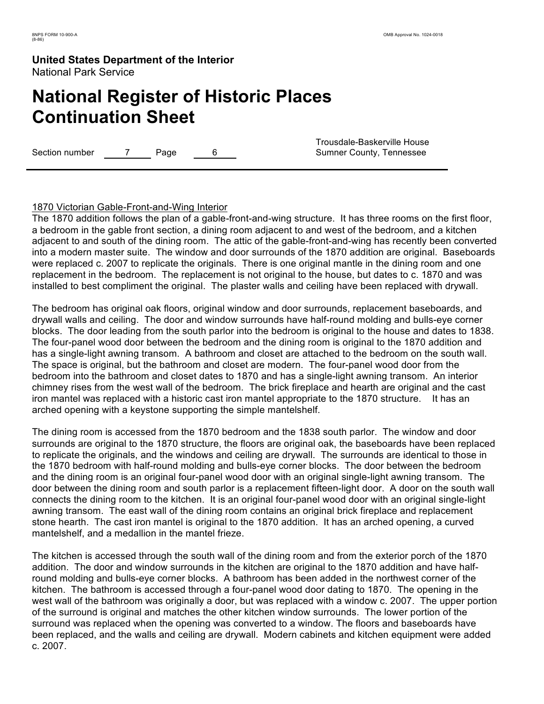# **National Register of Historic Places Continuation Sheet**

Section number  $\overline{7}$  Page 6

Trousdale-Baskerville House Sumner County, Tennessee

1870 Victorian Gable-Front-and-Wing Interior

The 1870 addition follows the plan of a gable-front-and-wing structure. It has three rooms on the first floor, a bedroom in the gable front section, a dining room adjacent to and west of the bedroom, and a kitchen adjacent to and south of the dining room. The attic of the gable-front-and-wing has recently been converted into a modern master suite. The window and door surrounds of the 1870 addition are original. Baseboards were replaced c. 2007 to replicate the originals. There is one original mantle in the dining room and one replacement in the bedroom. The replacement is not original to the house, but dates to c. 1870 and was installed to best compliment the original. The plaster walls and ceiling have been replaced with drywall.

The bedroom has original oak floors, original window and door surrounds, replacement baseboards, and drywall walls and ceiling. The door and window surrounds have half-round molding and bulls-eye corner blocks. The door leading from the south parlor into the bedroom is original to the house and dates to 1838. The four-panel wood door between the bedroom and the dining room is original to the 1870 addition and has a single-light awning transom. A bathroom and closet are attached to the bedroom on the south wall. The space is original, but the bathroom and closet are modern. The four-panel wood door from the bedroom into the bathroom and closet dates to 1870 and has a single-light awning transom. An interior chimney rises from the west wall of the bedroom. The brick fireplace and hearth are original and the cast iron mantel was replaced with a historic cast iron mantel appropriate to the 1870 structure. It has an arched opening with a keystone supporting the simple mantelshelf.

The dining room is accessed from the 1870 bedroom and the 1838 south parlor. The window and door surrounds are original to the 1870 structure, the floors are original oak, the baseboards have been replaced to replicate the originals, and the windows and ceiling are drywall. The surrounds are identical to those in the 1870 bedroom with half-round molding and bulls-eye corner blocks. The door between the bedroom and the dining room is an original four-panel wood door with an original single-light awning transom. The door between the dining room and south parlor is a replacement fifteen-light door. A door on the south wall connects the dining room to the kitchen. It is an original four-panel wood door with an original single-light awning transom. The east wall of the dining room contains an original brick fireplace and replacement stone hearth. The cast iron mantel is original to the 1870 addition. It has an arched opening, a curved mantelshelf, and a medallion in the mantel frieze.

The kitchen is accessed through the south wall of the dining room and from the exterior porch of the 1870 addition. The door and window surrounds in the kitchen are original to the 1870 addition and have halfround molding and bulls-eye corner blocks. A bathroom has been added in the northwest corner of the kitchen. The bathroom is accessed through a four-panel wood door dating to 1870. The opening in the west wall of the bathroom was originally a door, but was replaced with a window c. 2007. The upper portion of the surround is original and matches the other kitchen window surrounds. The lower portion of the surround was replaced when the opening was converted to a window. The floors and baseboards have been replaced, and the walls and ceiling are drywall. Modern cabinets and kitchen equipment were added c. 2007.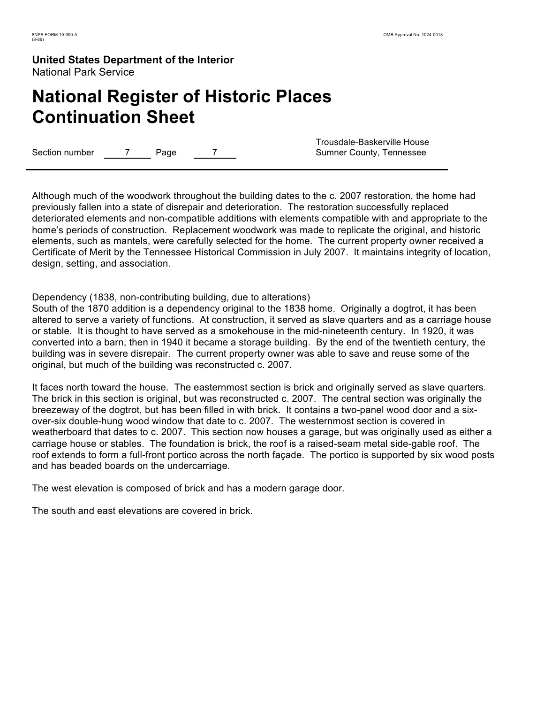# **National Register of Historic Places Continuation Sheet**

Section number  $\overline{7}$  Page 7

Trousdale-Baskerville House Sumner County, Tennessee

Although much of the woodwork throughout the building dates to the c. 2007 restoration, the home had previously fallen into a state of disrepair and deterioration. The restoration successfully replaced deteriorated elements and non-compatible additions with elements compatible with and appropriate to the home's periods of construction. Replacement woodwork was made to replicate the original, and historic elements, such as mantels, were carefully selected for the home. The current property owner received a Certificate of Merit by the Tennessee Historical Commission in July 2007. It maintains integrity of location, design, setting, and association.

### Dependency (1838, non-contributing building, due to alterations)

South of the 1870 addition is a dependency original to the 1838 home. Originally a dogtrot, it has been altered to serve a variety of functions. At construction, it served as slave quarters and as a carriage house or stable. It is thought to have served as a smokehouse in the mid-nineteenth century. In 1920, it was converted into a barn, then in 1940 it became a storage building. By the end of the twentieth century, the building was in severe disrepair. The current property owner was able to save and reuse some of the original, but much of the building was reconstructed c. 2007.

It faces north toward the house. The easternmost section is brick and originally served as slave quarters. The brick in this section is original, but was reconstructed c. 2007. The central section was originally the breezeway of the dogtrot, but has been filled in with brick. It contains a two-panel wood door and a sixover-six double-hung wood window that date to c. 2007. The westernmost section is covered in weatherboard that dates to c. 2007. This section now houses a garage, but was originally used as either a carriage house or stables. The foundation is brick, the roof is a raised-seam metal side-gable roof. The roof extends to form a full-front portico across the north façade. The portico is supported by six wood posts and has beaded boards on the undercarriage.

The west elevation is composed of brick and has a modern garage door.

The south and east elevations are covered in brick.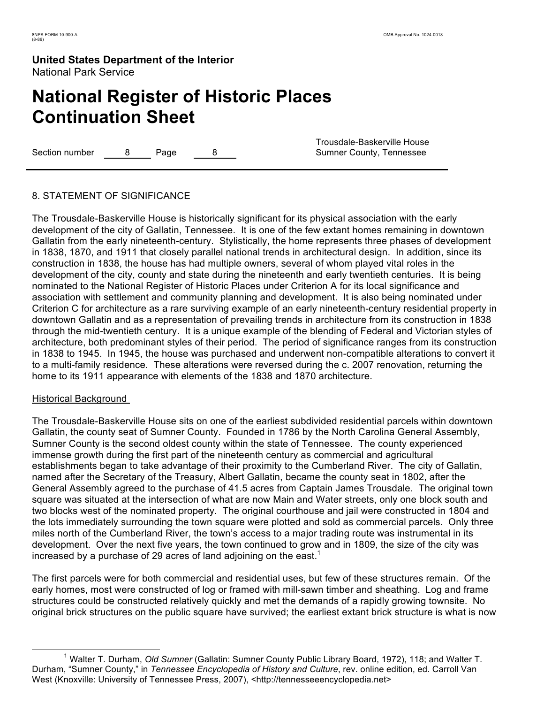# **National Register of Historic Places Continuation Sheet**

Section number a 8 Page 8

Trousdale-Baskerville House Sumner County, Tennessee

### 8. STATEMENT OF SIGNIFICANCE

The Trousdale-Baskerville House is historically significant for its physical association with the early development of the city of Gallatin, Tennessee. It is one of the few extant homes remaining in downtown Gallatin from the early nineteenth-century. Stylistically, the home represents three phases of development in 1838, 1870, and 1911 that closely parallel national trends in architectural design. In addition, since its construction in 1838, the house has had multiple owners, several of whom played vital roles in the development of the city, county and state during the nineteenth and early twentieth centuries. It is being nominated to the National Register of Historic Places under Criterion A for its local significance and association with settlement and community planning and development. It is also being nominated under Criterion C for architecture as a rare surviving example of an early nineteenth-century residential property in downtown Gallatin and as a representation of prevailing trends in architecture from its construction in 1838 through the mid-twentieth century. It is a unique example of the blending of Federal and Victorian styles of architecture, both predominant styles of their period. The period of significance ranges from its construction in 1838 to 1945. In 1945, the house was purchased and underwent non-compatible alterations to convert it to a multi-family residence. These alterations were reversed during the c. 2007 renovation, returning the home to its 1911 appearance with elements of the 1838 and 1870 architecture.

#### Historical Background

The Trousdale-Baskerville House sits on one of the earliest subdivided residential parcels within downtown Gallatin, the county seat of Sumner County. Founded in 1786 by the North Carolina General Assembly, Sumner County is the second oldest county within the state of Tennessee. The county experienced immense growth during the first part of the nineteenth century as commercial and agricultural establishments began to take advantage of their proximity to the Cumberland River. The city of Gallatin, named after the Secretary of the Treasury, Albert Gallatin, became the county seat in 1802, after the General Assembly agreed to the purchase of 41.5 acres from Captain James Trousdale. The original town square was situated at the intersection of what are now Main and Water streets, only one block south and two blocks west of the nominated property. The original courthouse and jail were constructed in 1804 and the lots immediately surrounding the town square were plotted and sold as commercial parcels. Only three miles north of the Cumberland River, the town's access to a major trading route was instrumental in its development. Over the next five years, the town continued to grow and in 1809, the size of the city was increased by a purchase of 29 acres of land adjoining on the east.<sup>1</sup>

The first parcels were for both commercial and residential uses, but few of these structures remain. Of the early homes, most were constructed of log or framed with mill-sawn timber and sheathing. Log and frame structures could be constructed relatively quickly and met the demands of a rapidly growing townsite. No original brick structures on the public square have survived; the earliest extant brick structure is what is now

 $\overline{\phantom{a}}$  1 Walter T. Durham, *Old Sumner* (Gallatin: Sumner County Public Library Board, 1972), 118; and Walter T. Durham, "Sumner County," in *Tennessee Encyclopedia of History and Culture*, rev. online edition, ed. Carroll Van West (Knoxville: University of Tennessee Press, 2007), <http://tennesseeencyclopedia.net>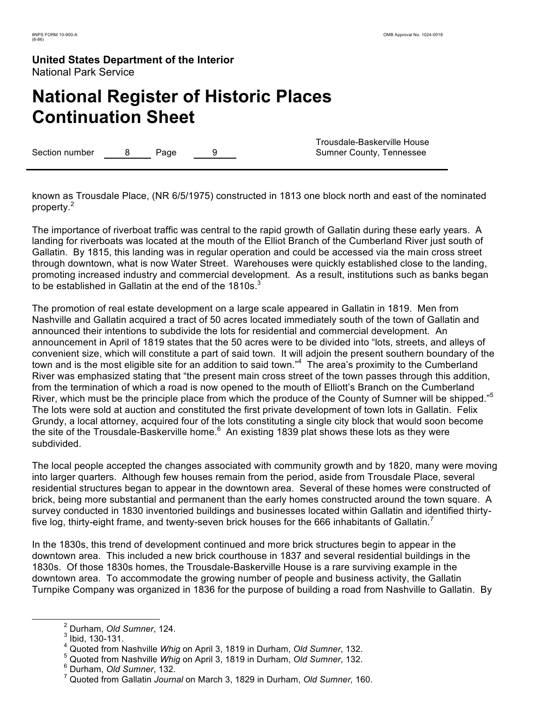# **National Register of Historic Places Continuation Sheet**

Section number 8 Page 9

Trousdale-Baskerville House Sumner County, Tennessee

known as Trousdale Place, (NR 6/5/1975) constructed in 1813 one block north and east of the nominated property.<sup>2</sup>

The importance of riverboat traffic was central to the rapid growth of Gallatin during these early years. A landing for riverboats was located at the mouth of the Elliot Branch of the Cumberland River just south of Gallatin. By 1815, this landing was in regular operation and could be accessed via the main cross street through downtown, what is now Water Street. Warehouses were quickly established close to the landing, promoting increased industry and commercial development. As a result, institutions such as banks began to be established in Gallatin at the end of the 1810s. $3$ 

The promotion of real estate development on a large scale appeared in Gallatin in 1819. Men from Nashville and Gallatin acquired a tract of 50 acres located immediately south of the town of Gallatin and announced their intentions to subdivide the lots for residential and commercial development. An announcement in April of 1819 states that the 50 acres were to be divided into "lots, streets, and alleys of convenient size, which will constitute a part of said town. It will adjoin the present southern boundary of the town and is the most eligible site for an addition to said town."<sup>4</sup> The area's proximity to the Cumberland River was emphasized stating that "the present main cross street of the town passes through this addition, from the termination of which a road is now opened to the mouth of Elliott's Branch on the Cumberland River, which must be the principle place from which the produce of the County of Sumner will be shipped."<sup>5</sup> The lots were sold at auction and constituted the first private development of town lots in Gallatin. Felix Grundy, a local attorney, acquired four of the lots constituting a single city block that would soon become the site of the Trousdale-Baskerville home.<sup>6</sup> An existing 1839 plat shows these lots as they were subdivided.

The local people accepted the changes associated with community growth and by 1820, many were moving into larger quarters. Although few houses remain from the period, aside from Trousdale Place, several residential structures began to appear in the downtown area. Several of these homes were constructed of brick, being more substantial and permanent than the early homes constructed around the town square. A survey conducted in 1830 inventoried buildings and businesses located within Gallatin and identified thirtyfive log, thirty-eight frame, and twenty-seven brick houses for the 666 inhabitants of Gallatin.<sup>7</sup>

In the 1830s, this trend of development continued and more brick structures begin to appear in the downtown area. This included a new brick courthouse in 1837 and several residential buildings in the 1830s. Of those 1830s homes, the Trousdale-Baskerville House is a rare surviving example in the downtown area. To accommodate the growing number of people and business activity, the Gallatin Turnpike Company was organized in 1836 for the purpose of building a road from Nashville to Gallatin. By

 $\overline{\phantom{a}}$ <sup>2</sup> Durham, Old Sumner, 124.

 $3$  Ibid, 130-131.

<sup>4</sup> Quoted from Nashville *Whig* on April 3, 1819 in Durham, *Old Sumner*, 132.

<sup>5</sup> Quoted from Nashville *Whig* on April 3, 1819 in Durham, *Old Sumner*, 132.

<sup>6</sup> Durham, *Old Sumner*, 132.

<sup>7</sup> Quoted from Gallatin *Journal* on March 3, 1829 in Durham, *Old Sumner,* 160.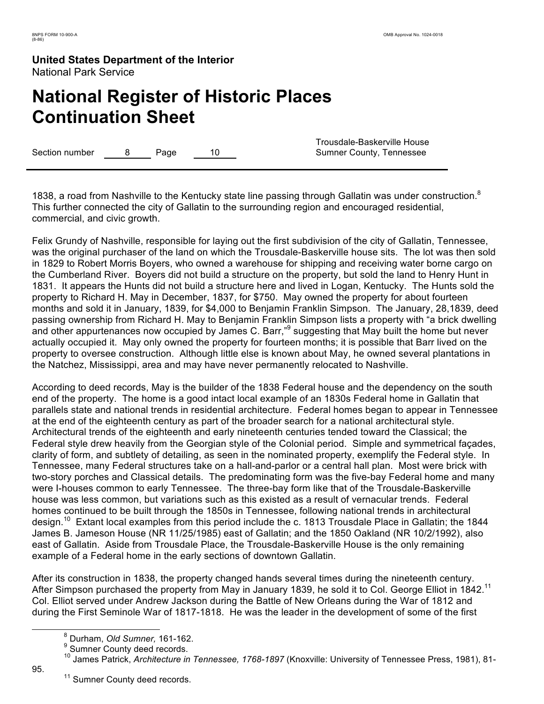# **National Register of Historic Places Continuation Sheet**

Section number 8 Page 10

Trousdale-Baskerville House Sumner County, Tennessee

1838, a road from Nashville to the Kentucky state line passing through Gallatin was under construction.<sup>8</sup> This further connected the city of Gallatin to the surrounding region and encouraged residential, commercial, and civic growth.

Felix Grundy of Nashville, responsible for laying out the first subdivision of the city of Gallatin, Tennessee, was the original purchaser of the land on which the Trousdale-Baskerville house sits. The lot was then sold in 1829 to Robert Morris Boyers, who owned a warehouse for shipping and receiving water borne cargo on the Cumberland River. Boyers did not build a structure on the property, but sold the land to Henry Hunt in 1831. It appears the Hunts did not build a structure here and lived in Logan, Kentucky. The Hunts sold the property to Richard H. May in December, 1837, for \$750. May owned the property for about fourteen months and sold it in January, 1839, for \$4,000 to Benjamin Franklin Simpson. The January, 28,1839, deed passing ownership from Richard H. May to Benjamin Franklin Simpson lists a property with "a brick dwelling and other appurtenances now occupied by James C. Barr," $9$  suggesting that May built the home but never actually occupied it. May only owned the property for fourteen months; it is possible that Barr lived on the property to oversee construction. Although little else is known about May, he owned several plantations in the Natchez, Mississippi, area and may have never permanently relocated to Nashville.

According to deed records, May is the builder of the 1838 Federal house and the dependency on the south end of the property. The home is a good intact local example of an 1830s Federal home in Gallatin that parallels state and national trends in residential architecture. Federal homes began to appear in Tennessee at the end of the eighteenth century as part of the broader search for a national architectural style. Architectural trends of the eighteenth and early nineteenth centuries tended toward the Classical; the Federal style drew heavily from the Georgian style of the Colonial period. Simple and symmetrical façades, clarity of form, and subtlety of detailing, as seen in the nominated property, exemplify the Federal style. In Tennessee, many Federal structures take on a hall-and-parlor or a central hall plan. Most were brick with two-story porches and Classical details. The predominating form was the five-bay Federal home and many were I-houses common to early Tennessee. The three-bay form like that of the Trousdale-Baskerville house was less common, but variations such as this existed as a result of vernacular trends. Federal homes continued to be built through the 1850s in Tennessee, following national trends in architectural design.<sup>10</sup> Extant local examples from this period include the c. 1813 Trousdale Place in Gallatin; the 1844 James B. Jameson House (NR 11/25/1985) east of Gallatin; and the 1850 Oakland (NR 10/2/1992), also east of Gallatin. Aside from Trousdale Place, the Trousdale-Baskerville House is the only remaining example of a Federal home in the early sections of downtown Gallatin.

After its construction in 1838, the property changed hands several times during the nineteenth century. After Simpson purchased the property from May in January 1839, he sold it to Col. George Elliot in 1842.<sup>11</sup> Col. Elliot served under Andrew Jackson during the Battle of New Orleans during the War of 1812 and during the First Seminole War of 1817-1818. He was the leader in the development of some of the first

10 James Patrick, *Architecture in Tennessee, 1768-1897* (Knoxville: University of Tennessee Press, 1981), 81-

<sup>11</sup> Sumner County deed records.

<sup>8</sup> Durham, *Old Sumner,* 161-162.

<sup>&</sup>lt;sup>9</sup> Sumner County deed records.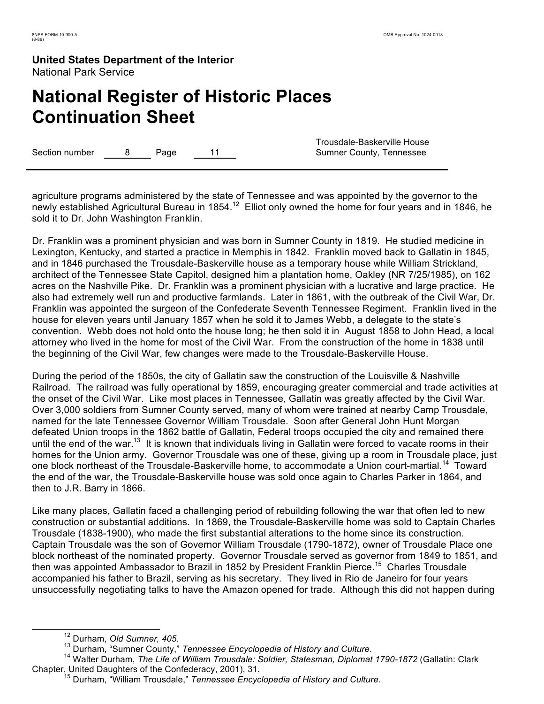# **National Register of Historic Places Continuation Sheet**

Section number  $\overline{8}$  Page 11

Trousdale-Baskerville House Sumner County, Tennessee

agriculture programs administered by the state of Tennessee and was appointed by the governor to the newly established Agricultural Bureau in 1854.<sup>12</sup> Elliot only owned the home for four years and in 1846, he sold it to Dr. John Washington Franklin.

Dr. Franklin was a prominent physician and was born in Sumner County in 1819. He studied medicine in Lexington, Kentucky, and started a practice in Memphis in 1842. Franklin moved back to Gallatin in 1845, and in 1846 purchased the Trousdale-Baskerville house as a temporary house while William Strickland, architect of the Tennessee State Capitol, designed him a plantation home, Oakley (NR 7/25/1985), on 162 acres on the Nashville Pike. Dr. Franklin was a prominent physician with a lucrative and large practice. He also had extremely well run and productive farmlands. Later in 1861, with the outbreak of the Civil War, Dr. Franklin was appointed the surgeon of the Confederate Seventh Tennessee Regiment. Franklin lived in the house for eleven years until January 1857 when he sold it to James Webb, a delegate to the state's convention. Webb does not hold onto the house long; he then sold it in August 1858 to John Head, a local attorney who lived in the home for most of the Civil War. From the construction of the home in 1838 until the beginning of the Civil War, few changes were made to the Trousdale-Baskerville House.

During the period of the 1850s, the city of Gallatin saw the construction of the Louisville & Nashville Railroad. The railroad was fully operational by 1859, encouraging greater commercial and trade activities at the onset of the Civil War. Like most places in Tennessee, Gallatin was greatly affected by the Civil War. Over 3,000 soldiers from Sumner County served, many of whom were trained at nearby Camp Trousdale, named for the late Tennessee Governor William Trousdale. Soon after General John Hunt Morgan defeated Union troops in the 1862 battle of Gallatin, Federal troops occupied the city and remained there until the end of the war.<sup>13</sup> It is known that individuals living in Gallatin were forced to vacate rooms in their homes for the Union army. Governor Trousdale was one of these, giving up a room in Trousdale place, just one block northeast of the Trousdale-Baskerville home, to accommodate a Union court-martial.<sup>14</sup> Toward the end of the war, the Trousdale-Baskerville house was sold once again to Charles Parker in 1864, and then to J.R. Barry in 1866.

Like many places, Gallatin faced a challenging period of rebuilding following the war that often led to new construction or substantial additions. In 1869, the Trousdale-Baskerville home was sold to Captain Charles Trousdale (1838-1900), who made the first substantial alterations to the home since its construction. Captain Trousdale was the son of Governor William Trousdale (1790-1872), owner of Trousdale Place one block northeast of the nominated property. Governor Trousdale served as governor from 1849 to 1851, and then was appointed Ambassador to Brazil in 1852 by President Franklin Pierce.<sup>15</sup> Charles Trousdale accompanied his father to Brazil, serving as his secretary. They lived in Rio de Janeiro for four years unsuccessfully negotiating talks to have the Amazon opened for trade. Although this did not happen during

<sup>&</sup>lt;sup>12</sup> Durham, Old Sumner, 405.<br><sup>13</sup> Durham, "Sumner County," Tennessee Encyclopedia of History and Culture.<br><sup>14</sup> Walter Durham, The Life of William Trousdale: Soldier, Statesman, Diplomat 1790-1872 (Gallatin: Clark Chapter, United Daughters of the Confederacy, 2001), 31. 15 Durham, "William Trousdale," *Tennessee Encyclopedia of History and Culture*.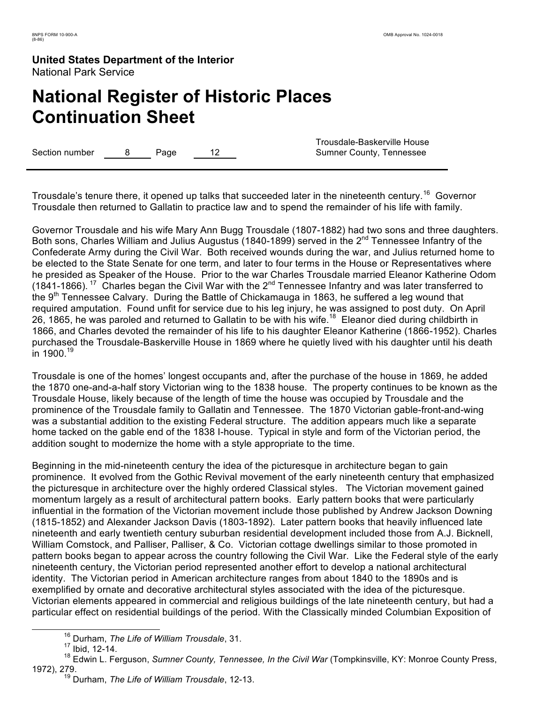# **National Register of Historic Places Continuation Sheet**

Section number a 8 Page 12

Trousdale-Baskerville House Sumner County, Tennessee

Trousdale's tenure there, it opened up talks that succeeded later in the nineteenth century.<sup>16</sup> Governor Trousdale then returned to Gallatin to practice law and to spend the remainder of his life with family.

Governor Trousdale and his wife Mary Ann Bugg Trousdale (1807-1882) had two sons and three daughters. Both sons, Charles William and Julius Augustus (1840-1899) served in the  $2^{nd}$  Tennessee Infantry of the Confederate Army during the Civil War. Both received wounds during the war, and Julius returned home to be elected to the State Senate for one term, and later to four terms in the House or Representatives where he presided as Speaker of the House. Prior to the war Charles Trousdale married Eleanor Katherine Odom (1841-1866). <sup>17</sup> Charles began the Civil War with the 2<sup>nd</sup> Tennessee Infantry and was later transferred to the  $9<sup>th</sup>$  Tennessee Calvary. During the Battle of Chickamauga in 1863, he suffered a leg wound that required amputation. Found unfit for service due to his leg injury, he was assigned to post duty. On April 26, 1865, he was paroled and returned to Gallatin to be with his wife.<sup>18</sup> Eleanor died during childbirth in 1866, and Charles devoted the remainder of his life to his daughter Eleanor Katherine (1866-1952). Charles purchased the Trousdale-Baskerville House in 1869 where he quietly lived with his daughter until his death in 1900. 19

Trousdale is one of the homes' longest occupants and, after the purchase of the house in 1869, he added the 1870 one-and-a-half story Victorian wing to the 1838 house. The property continues to be known as the Trousdale House, likely because of the length of time the house was occupied by Trousdale and the prominence of the Trousdale family to Gallatin and Tennessee. The 1870 Victorian gable-front-and-wing was a substantial addition to the existing Federal structure. The addition appears much like a separate home tacked on the gable end of the 1838 I-house. Typical in style and form of the Victorian period, the addition sought to modernize the home with a style appropriate to the time.

Beginning in the mid-nineteenth century the idea of the picturesque in architecture began to gain prominence. It evolved from the Gothic Revival movement of the early nineteenth century that emphasized the picturesque in architecture over the highly ordered Classical styles. The Victorian movement gained momentum largely as a result of architectural pattern books. Early pattern books that were particularly influential in the formation of the Victorian movement include those published by Andrew Jackson Downing (1815-1852) and Alexander Jackson Davis (1803-1892). Later pattern books that heavily influenced late nineteenth and early twentieth century suburban residential development included those from A.J. Bicknell, William Comstock, and Palliser, Palliser, & Co. Victorian cottage dwellings similar to those promoted in pattern books began to appear across the country following the Civil War. Like the Federal style of the early nineteenth century, the Victorian period represented another effort to develop a national architectural identity. The Victorian period in American architecture ranges from about 1840 to the 1890s and is exemplified by ornate and decorative architectural styles associated with the idea of the picturesque. Victorian elements appeared in commercial and religious buildings of the late nineteenth century, but had a particular effect on residential buildings of the period. With the Classically minded Columbian Exposition of

16 Durham, *The Life of William Trousdale*, 31.

 $17$  Ibid, 12-14.

<sup>18</sup> Edwin L. Ferguson, *Sumner County, Tennessee, In the Civil War* (Tompkinsville, KY: Monroe County Press, 1972), 279. 19 Durham, *The Life of William Trousdale*, 12-13.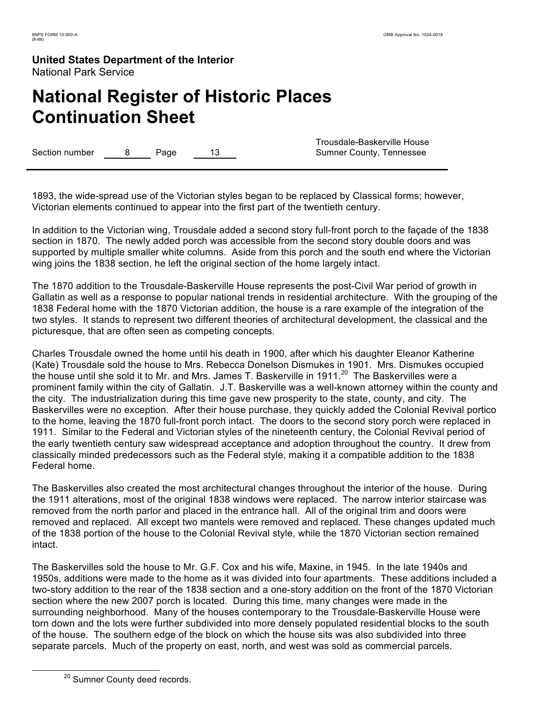# **National Register of Historic Places Continuation Sheet**

Section number  $\overline{8}$  Page 13

Trousdale-Baskerville House Sumner County, Tennessee

1893, the wide-spread use of the Victorian styles began to be replaced by Classical forms; however, Victorian elements continued to appear into the first part of the twentieth century.

In addition to the Victorian wing, Trousdale added a second story full-front porch to the façade of the 1838 section in 1870. The newly added porch was accessible from the second story double doors and was supported by multiple smaller white columns. Aside from this porch and the south end where the Victorian wing joins the 1838 section, he left the original section of the home largely intact.

The 1870 addition to the Trousdale-Baskerville House represents the post-Civil War period of growth in Gallatin as well as a response to popular national trends in residential architecture. With the grouping of the 1838 Federal home with the 1870 Victorian addition, the house is a rare example of the integration of the two styles. It stands to represent two different theories of architectural development, the classical and the picturesque, that are often seen as competing concepts.

Charles Trousdale owned the home until his death in 1900, after which his daughter Eleanor Katherine (Kate) Trousdale sold the house to Mrs. Rebecca Donelson Dismukes in 1901. Mrs. Dismukes occupied the house until she sold it to Mr. and Mrs. James T. Baskerville in 1911.<sup>20</sup> The Baskervilles were a prominent family within the city of Gallatin. J.T. Baskerville was a well-known attorney within the county and the city. The industrialization during this time gave new prosperity to the state, county, and city. The Baskervilles were no exception. After their house purchase, they quickly added the Colonial Revival portico to the home, leaving the 1870 full-front porch intact. The doors to the second story porch were replaced in 1911. Similar to the Federal and Victorian styles of the nineteenth century, the Colonial Revival period of the early twentieth century saw widespread acceptance and adoption throughout the country. It drew from classically minded predecessors such as the Federal style, making it a compatible addition to the 1838 Federal home.

The Baskervilles also created the most architectural changes throughout the interior of the house. During the 1911 alterations, most of the original 1838 windows were replaced. The narrow interior staircase was removed from the north parlor and placed in the entrance hall. All of the original trim and doors were removed and replaced. All except two mantels were removed and replaced. These changes updated much of the 1838 portion of the house to the Colonial Revival style, while the 1870 Victorian section remained intact.

The Baskervilles sold the house to Mr. G.F. Cox and his wife, Maxine, in 1945. In the late 1940s and 1950s, additions were made to the home as it was divided into four apartments. These additions included a two-story addition to the rear of the 1838 section and a one-story addition on the front of the 1870 Victorian section where the new 2007 porch is located. During this time, many changes were made in the surrounding neighborhood. Many of the houses contemporary to the Trousdale-Baskerville House were torn down and the lots were further subdivided into more densely populated residential blocks to the south of the house. The southern edge of the block on which the house sits was also subdivided into three separate parcels. Much of the property on east, north, and west was sold as commercial parcels.

<sup>&</sup>lt;sup>20</sup> Sumner County deed records.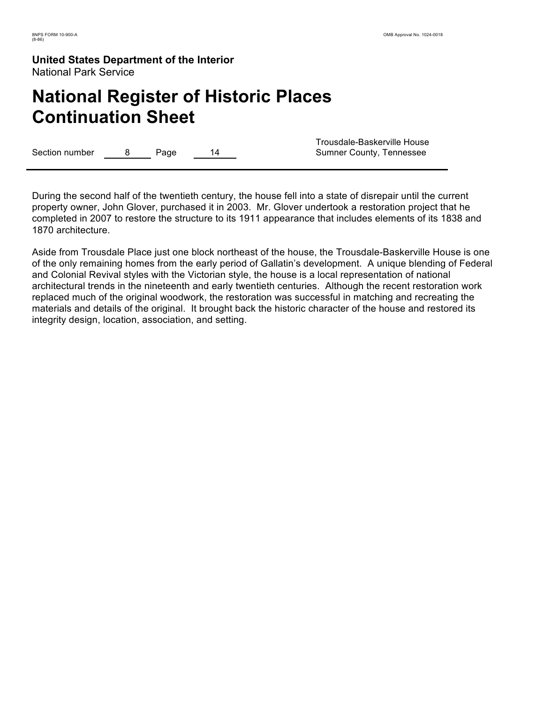# **National Register of Historic Places Continuation Sheet**

Section number 8 Page 14

Trousdale-Baskerville House Sumner County, Tennessee

During the second half of the twentieth century, the house fell into a state of disrepair until the current property owner, John Glover, purchased it in 2003. Mr. Glover undertook a restoration project that he completed in 2007 to restore the structure to its 1911 appearance that includes elements of its 1838 and 1870 architecture.

Aside from Trousdale Place just one block northeast of the house, the Trousdale-Baskerville House is one of the only remaining homes from the early period of Gallatin's development. A unique blending of Federal and Colonial Revival styles with the Victorian style, the house is a local representation of national architectural trends in the nineteenth and early twentieth centuries. Although the recent restoration work replaced much of the original woodwork, the restoration was successful in matching and recreating the materials and details of the original. It brought back the historic character of the house and restored its integrity design, location, association, and setting.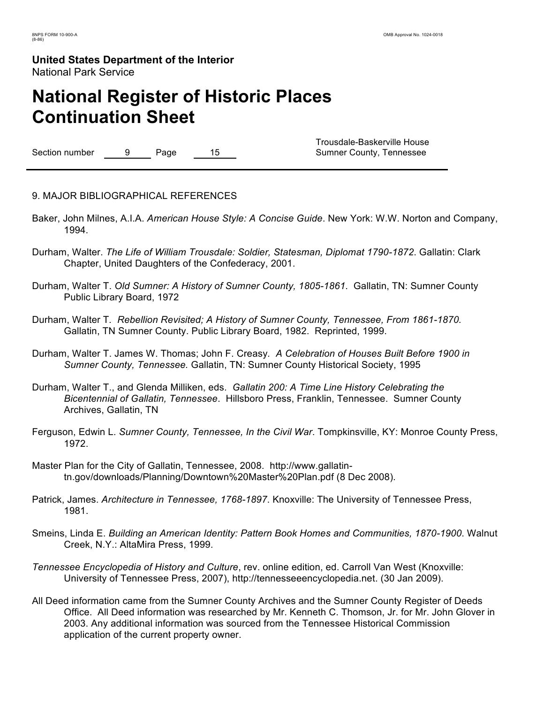## **National Register of Historic Places Continuation Sheet**

Section number 9 Page 15

Trousdale-Baskerville House Sumner County, Tennessee

9. MAJOR BIBLIOGRAPHICAL REFERENCES

- Baker, John Milnes, A.I.A. *American House Style: A Concise Guide*. New York: W.W. Norton and Company, 1994.
- Durham, Walter. *The Life of William Trousdale: Soldier, Statesman, Diplomat 1790-1872*. Gallatin: Clark Chapter, United Daughters of the Confederacy, 2001.
- Durham, Walter T. *Old Sumner: A History of Sumner County, 1805-1861*. Gallatin, TN: Sumner County Public Library Board, 1972
- Durham, Walter T*. Rebellion Revisited; A History of Sumner County, Tennessee, From 1861-1870.* Gallatin, TN Sumner County. Public Library Board, 1982. Reprinted, 1999.
- Durham, Walter T. James W. Thomas; John F. Creasy*. A Celebration of Houses Built Before 1900 in Sumner County, Tennessee.* Gallatin, TN: Sumner County Historical Society, 1995
- Durham, Walter T., and Glenda Milliken, eds. *Gallatin 200: A Time Line History Celebrating the Bicentennial of Gallatin, Tennessee*. Hillsboro Press, Franklin, Tennessee. Sumner County Archives, Gallatin, TN
- Ferguson, Edwin L. *Sumner County, Tennessee, In the Civil War*. Tompkinsville, KY: Monroe County Press, 1972.
- Master Plan for the City of Gallatin, Tennessee, 2008. http://www.gallatintn.gov/downloads/Planning/Downtown%20Master%20Plan.pdf (8 Dec 2008).
- Patrick, James. *Architecture in Tennessee, 1768-1897*. Knoxville: The University of Tennessee Press, 1981.
- Smeins, Linda E. *Building an American Identity: Pattern Book Homes and Communities, 1870-1900*. Walnut Creek, N.Y.: AltaMira Press, 1999.
- *Tennessee Encyclopedia of History and Culture*, rev. online edition, ed. Carroll Van West (Knoxville: University of Tennessee Press, 2007), http://tennesseeencyclopedia.net. (30 Jan 2009).
- All Deed information came from the Sumner County Archives and the Sumner County Register of Deeds Office. All Deed information was researched by Mr. Kenneth C. Thomson, Jr. for Mr. John Glover in 2003. Any additional information was sourced from the Tennessee Historical Commission application of the current property owner.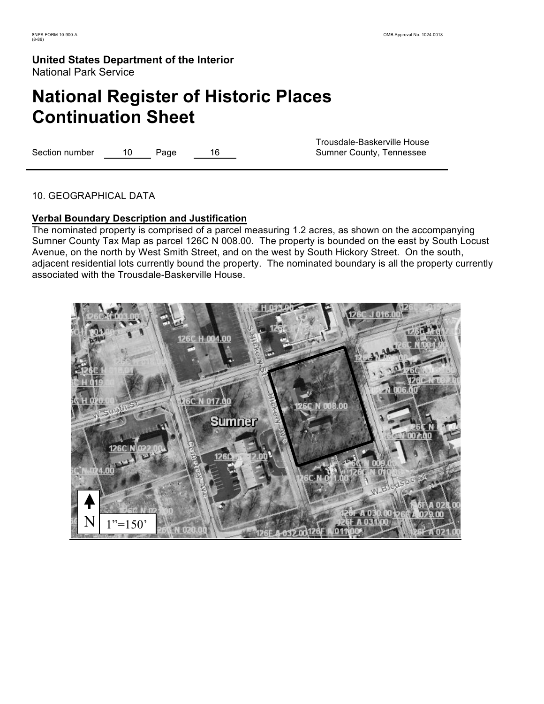# **National Register of Historic Places Continuation Sheet**

Section number 10 Page 16

Trousdale-Baskerville House Sumner County, Tennessee

#### 10. GEOGRAPHICAL DATA

#### **Verbal Boundary Description and Justification**

The nominated property is comprised of a parcel measuring 1.2 acres, as shown on the accompanying Sumner County Tax Map as parcel 126C N 008.00. The property is bounded on the east by South Locust Avenue, on the north by West Smith Street, and on the west by South Hickory Street. On the south, adjacent residential lots currently bound the property. The nominated boundary is all the property currently associated with the Trousdale-Baskerville House.

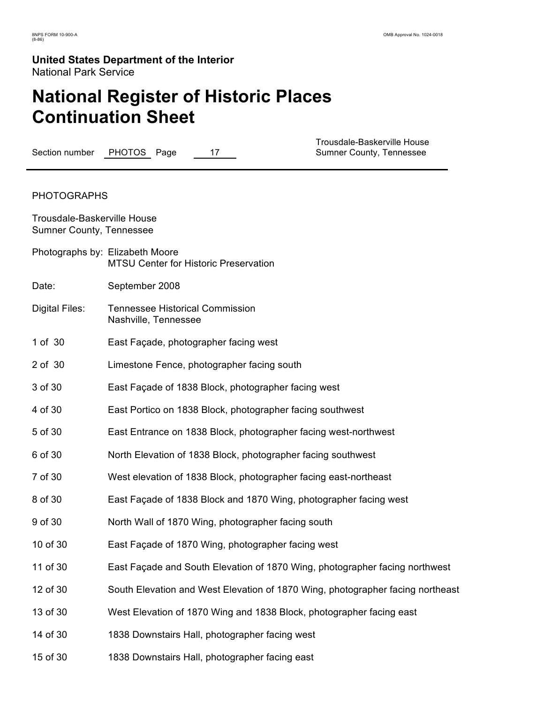# **National Register of Historic Places Continuation Sheet**

Section number PHOTOS Page 17

Trousdale-Baskerville House Sumner County, Tennessee

### PHOTOGRAPHS

Trousdale-Baskerville House Sumner County, Tennessee

- Photographs by: Elizabeth Moore MTSU Center for Historic Preservation
- Date: September 2008
- Digital Files: Tennessee Historical Commission Nashville, Tennessee
- 1 of 30 East Façade, photographer facing west
- 2 of 30 Limestone Fence, photographer facing south
- 3 of 30 East Façade of 1838 Block, photographer facing west
- 4 of 30 East Portico on 1838 Block, photographer facing southwest
- 5 of 30 East Entrance on 1838 Block, photographer facing west-northwest
- 6 of 30 North Elevation of 1838 Block, photographer facing southwest
- 7 of 30 West elevation of 1838 Block, photographer facing east-northeast
- 8 of 30 East Façade of 1838 Block and 1870 Wing, photographer facing west
- 9 of 30 North Wall of 1870 Wing, photographer facing south
- 10 of 30 East Façade of 1870 Wing, photographer facing west
- 11 of 30 East Façade and South Elevation of 1870 Wing, photographer facing northwest
- 12 of 30 South Elevation and West Elevation of 1870 Wing, photographer facing northeast
- 13 of 30 West Elevation of 1870 Wing and 1838 Block, photographer facing east
- 14 of 30 1838 Downstairs Hall, photographer facing west
- 15 of 30 1838 Downstairs Hall, photographer facing east